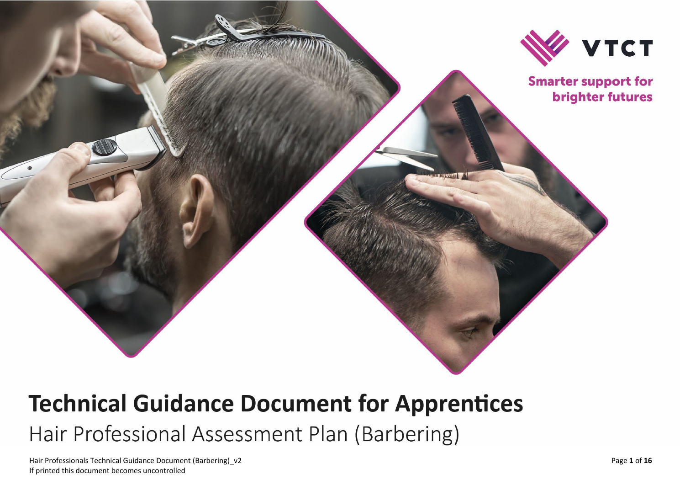

# **Technical Guidance Document for Apprentices** Hair Professional Assessment Plan (Barbering)

Hair Professionals Technical Guidance Document ( Barbering If printed this document becomes uncontrolled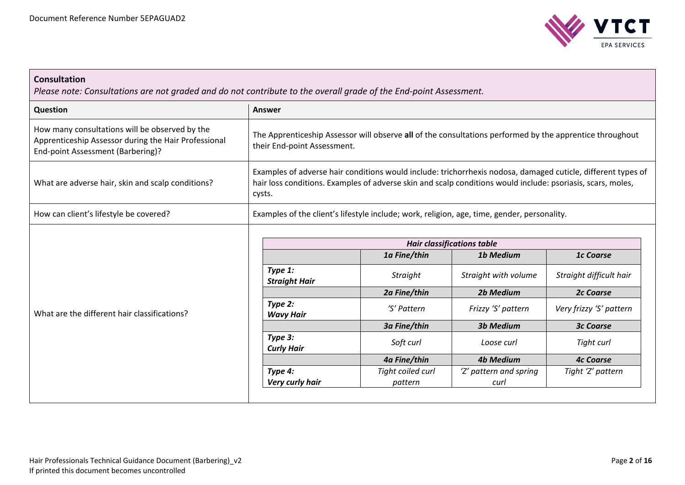

# **Consultation**

*Please note: Consultations are not graded and do not contribute to the overall grade of the End-point Assessment.*

| Question                                                                                                                                    | Answer                                                                                      |                              |                                                                                                             |                                                                                                              |
|---------------------------------------------------------------------------------------------------------------------------------------------|---------------------------------------------------------------------------------------------|------------------------------|-------------------------------------------------------------------------------------------------------------|--------------------------------------------------------------------------------------------------------------|
| How many consultations will be observed by the<br>Apprenticeship Assessor during the Hair Professional<br>End-point Assessment (Barbering)? | their End-point Assessment.                                                                 |                              | The Apprenticeship Assessor will observe all of the consultations performed by the apprentice throughout    |                                                                                                              |
| What are adverse hair, skin and scalp conditions?                                                                                           | cysts.                                                                                      |                              | hair loss conditions. Examples of adverse skin and scalp conditions would include: psoriasis, scars, moles, | Examples of adverse hair conditions would include: trichorrhexis nodosa, damaged cuticle, different types of |
| How can client's lifestyle be covered?                                                                                                      | Examples of the client's lifestyle include; work, religion, age, time, gender, personality. |                              |                                                                                                             |                                                                                                              |
|                                                                                                                                             | <b>Hair classifications table</b>                                                           |                              |                                                                                                             |                                                                                                              |
|                                                                                                                                             |                                                                                             | 1a Fine/thin                 | <b>1b Medium</b>                                                                                            | <b>1c Coarse</b>                                                                                             |
|                                                                                                                                             | Type 1:<br><b>Straight Hair</b>                                                             | Straight                     | Straight with volume                                                                                        | Straight difficult hair                                                                                      |
|                                                                                                                                             |                                                                                             | 2a Fine/thin                 | 2b Medium                                                                                                   | <b>2c Coarse</b>                                                                                             |
| What are the different hair classifications?                                                                                                | Type 2:<br><b>Wavy Hair</b>                                                                 | 'S' Pattern                  | Frizzy 'S' pattern                                                                                          | Very frizzy 'S' pattern                                                                                      |
|                                                                                                                                             |                                                                                             | 3a Fine/thin                 | <b>3b Medium</b>                                                                                            | <b>3c Coarse</b>                                                                                             |
|                                                                                                                                             | Type 3:<br><b>Curly Hair</b>                                                                | Soft curl                    | Loose curl                                                                                                  | Tight curl                                                                                                   |
|                                                                                                                                             |                                                                                             | 4a Fine/thin                 | <b>4b Medium</b>                                                                                            | <b>4c Coarse</b>                                                                                             |
|                                                                                                                                             | Type 4:<br>Very curly hair                                                                  | Tight coiled curl<br>pattern | 'Z' pattern and spring<br>curl                                                                              | Tight 'Z' pattern                                                                                            |
|                                                                                                                                             |                                                                                             |                              |                                                                                                             |                                                                                                              |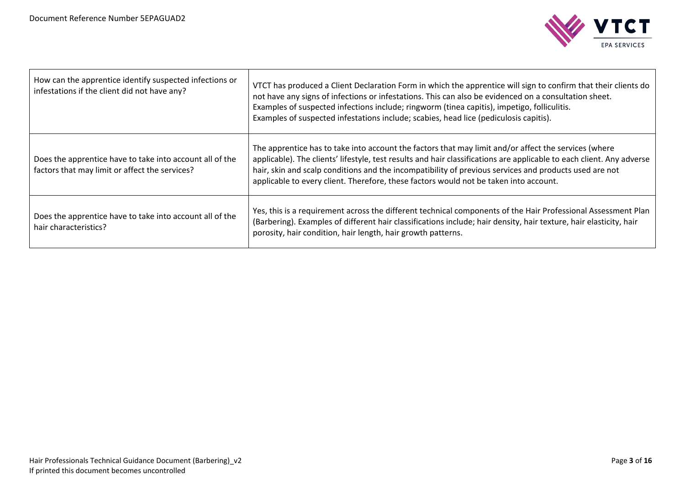

| How can the apprentice identify suspected infections or<br>infestations if the client did not have any?    | VTCT has produced a Client Declaration Form in which the apprentice will sign to confirm that their clients do<br>not have any signs of infections or infestations. This can also be evidenced on a consultation sheet.<br>Examples of suspected infections include; ringworm (tinea capitis), impetigo, folliculitis.<br>Examples of suspected infestations include; scabies, head lice (pediculosis capitis).                  |
|------------------------------------------------------------------------------------------------------------|----------------------------------------------------------------------------------------------------------------------------------------------------------------------------------------------------------------------------------------------------------------------------------------------------------------------------------------------------------------------------------------------------------------------------------|
| Does the apprentice have to take into account all of the<br>factors that may limit or affect the services? | The apprentice has to take into account the factors that may limit and/or affect the services (where<br>applicable). The clients' lifestyle, test results and hair classifications are applicable to each client. Any adverse<br>hair, skin and scalp conditions and the incompatibility of previous services and products used are not<br>applicable to every client. Therefore, these factors would not be taken into account. |
| Does the apprentice have to take into account all of the<br>hair characteristics?                          | Yes, this is a requirement across the different technical components of the Hair Professional Assessment Plan<br>(Barbering). Examples of different hair classifications include; hair density, hair texture, hair elasticity, hair<br>porosity, hair condition, hair length, hair growth patterns.                                                                                                                              |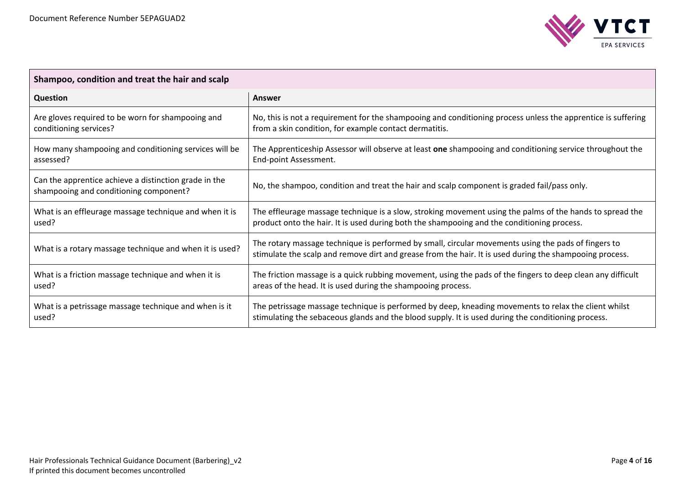

| Shampoo, condition and treat the hair and scalp                                                 |                                                                                                                                                                                                                |  |
|-------------------------------------------------------------------------------------------------|----------------------------------------------------------------------------------------------------------------------------------------------------------------------------------------------------------------|--|
| Question                                                                                        | Answer                                                                                                                                                                                                         |  |
| Are gloves required to be worn for shampooing and                                               | No, this is not a requirement for the shampooing and conditioning process unless the apprentice is suffering                                                                                                   |  |
| conditioning services?                                                                          | from a skin condition, for example contact dermatitis.                                                                                                                                                         |  |
| How many shampooing and conditioning services will be                                           | The Apprenticeship Assessor will observe at least one shampooing and conditioning service throughout the                                                                                                       |  |
| assessed?                                                                                       | End-point Assessment.                                                                                                                                                                                          |  |
| Can the apprentice achieve a distinction grade in the<br>shampooing and conditioning component? | No, the shampoo, condition and treat the hair and scalp component is graded fail/pass only.                                                                                                                    |  |
| What is an effleurage massage technique and when it is                                          | The effleurage massage technique is a slow, stroking movement using the palms of the hands to spread the                                                                                                       |  |
| used?                                                                                           | product onto the hair. It is used during both the shampooing and the conditioning process.                                                                                                                     |  |
| What is a rotary massage technique and when it is used?                                         | The rotary massage technique is performed by small, circular movements using the pads of fingers to<br>stimulate the scalp and remove dirt and grease from the hair. It is used during the shampooing process. |  |
| What is a friction massage technique and when it is                                             | The friction massage is a quick rubbing movement, using the pads of the fingers to deep clean any difficult                                                                                                    |  |
| used?                                                                                           | areas of the head. It is used during the shampooing process.                                                                                                                                                   |  |
| What is a petrissage massage technique and when is it                                           | The petrissage massage technique is performed by deep, kneading movements to relax the client whilst                                                                                                           |  |
| used?                                                                                           | stimulating the sebaceous glands and the blood supply. It is used during the conditioning process.                                                                                                             |  |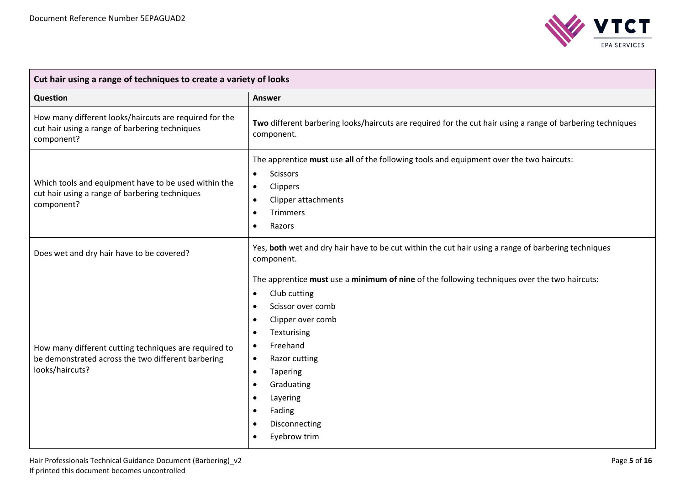

| Cut hair using a range of techniques to create a variety of looks                                                              |                                                                                                                                                                                                                                                                                                                                                                   |  |
|--------------------------------------------------------------------------------------------------------------------------------|-------------------------------------------------------------------------------------------------------------------------------------------------------------------------------------------------------------------------------------------------------------------------------------------------------------------------------------------------------------------|--|
| Question                                                                                                                       | <b>Answer</b>                                                                                                                                                                                                                                                                                                                                                     |  |
| How many different looks/haircuts are required for the<br>cut hair using a range of barbering techniques<br>component?         | Two different barbering looks/haircuts are required for the cut hair using a range of barbering techniques<br>component.                                                                                                                                                                                                                                          |  |
| Which tools and equipment have to be used within the<br>cut hair using a range of barbering techniques<br>component?           | The apprentice must use all of the following tools and equipment over the two haircuts:<br><b>Scissors</b><br>$\bullet$<br>Clippers<br>$\bullet$<br>Clipper attachments<br>$\bullet$<br>Trimmers<br>Razors<br>$\bullet$                                                                                                                                           |  |
| Does wet and dry hair have to be covered?                                                                                      | Yes, both wet and dry hair have to be cut within the cut hair using a range of barbering techniques<br>component.                                                                                                                                                                                                                                                 |  |
| How many different cutting techniques are required to<br>be demonstrated across the two different barbering<br>looks/haircuts? | The apprentice must use a minimum of nine of the following techniques over the two haircuts:<br>Club cutting<br>$\bullet$<br>Scissor over comb<br>$\bullet$<br>Clipper over comb<br>Texturising<br>Freehand<br>$\bullet$<br>Razor cutting<br>$\bullet$<br>Tapering<br>$\bullet$<br>Graduating<br>$\bullet$<br>Layering<br>Fading<br>Disconnecting<br>Eyebrow trim |  |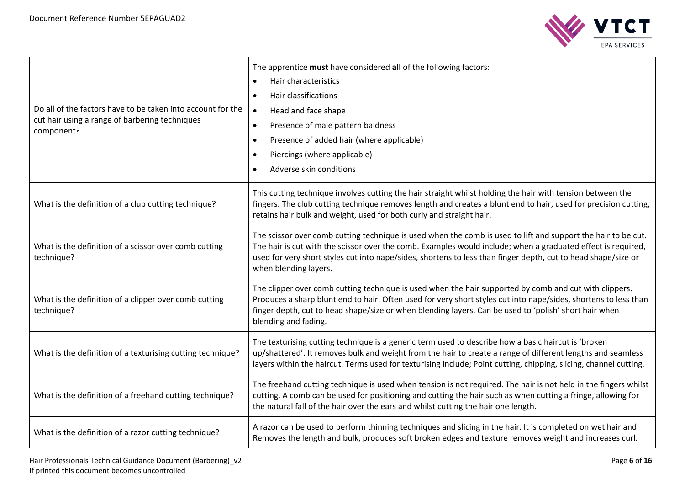

| Do all of the factors have to be taken into account for the<br>cut hair using a range of barbering techniques<br>component? | The apprentice must have considered all of the following factors:<br>Hair characteristics<br>$\bullet$<br>Hair classifications<br>$\bullet$<br>Head and face shape<br>$\bullet$<br>Presence of male pattern baldness<br>Presence of added hair (where applicable)<br>$\bullet$<br>Piercings (where applicable)<br>$\bullet$<br>Adverse skin conditions                  |
|-----------------------------------------------------------------------------------------------------------------------------|-------------------------------------------------------------------------------------------------------------------------------------------------------------------------------------------------------------------------------------------------------------------------------------------------------------------------------------------------------------------------|
| What is the definition of a club cutting technique?                                                                         | This cutting technique involves cutting the hair straight whilst holding the hair with tension between the<br>fingers. The club cutting technique removes length and creates a blunt end to hair, used for precision cutting,<br>retains hair bulk and weight, used for both curly and straight hair.                                                                   |
| What is the definition of a scissor over comb cutting<br>technique?                                                         | The scissor over comb cutting technique is used when the comb is used to lift and support the hair to be cut.<br>The hair is cut with the scissor over the comb. Examples would include; when a graduated effect is required,<br>used for very short styles cut into nape/sides, shortens to less than finger depth, cut to head shape/size or<br>when blending layers. |
| What is the definition of a clipper over comb cutting<br>technique?                                                         | The clipper over comb cutting technique is used when the hair supported by comb and cut with clippers.<br>Produces a sharp blunt end to hair. Often used for very short styles cut into nape/sides, shortens to less than<br>finger depth, cut to head shape/size or when blending layers. Can be used to 'polish' short hair when<br>blending and fading.              |
| What is the definition of a texturising cutting technique?                                                                  | The texturising cutting technique is a generic term used to describe how a basic haircut is 'broken<br>up/shattered'. It removes bulk and weight from the hair to create a range of different lengths and seamless<br>layers within the haircut. Terms used for texturising include; Point cutting, chipping, slicing, channel cutting.                                 |
| What is the definition of a freehand cutting technique?                                                                     | The freehand cutting technique is used when tension is not required. The hair is not held in the fingers whilst<br>cutting. A comb can be used for positioning and cutting the hair such as when cutting a fringe, allowing for<br>the natural fall of the hair over the ears and whilst cutting the hair one length.                                                   |
| What is the definition of a razor cutting technique?                                                                        | A razor can be used to perform thinning techniques and slicing in the hair. It is completed on wet hair and<br>Removes the length and bulk, produces soft broken edges and texture removes weight and increases curl.                                                                                                                                                   |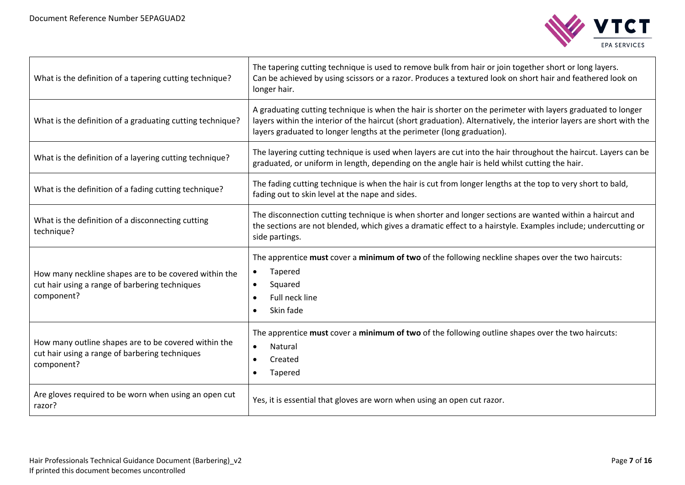

| What is the definition of a tapering cutting technique?                                                               | The tapering cutting technique is used to remove bulk from hair or join together short or long layers.<br>Can be achieved by using scissors or a razor. Produces a textured look on short hair and feathered look on<br>longer hair.                                                                         |
|-----------------------------------------------------------------------------------------------------------------------|--------------------------------------------------------------------------------------------------------------------------------------------------------------------------------------------------------------------------------------------------------------------------------------------------------------|
| What is the definition of a graduating cutting technique?                                                             | A graduating cutting technique is when the hair is shorter on the perimeter with layers graduated to longer<br>layers within the interior of the haircut (short graduation). Alternatively, the interior layers are short with the<br>layers graduated to longer lengths at the perimeter (long graduation). |
| What is the definition of a layering cutting technique?                                                               | The layering cutting technique is used when layers are cut into the hair throughout the haircut. Layers can be<br>graduated, or uniform in length, depending on the angle hair is held whilst cutting the hair.                                                                                              |
| What is the definition of a fading cutting technique?                                                                 | The fading cutting technique is when the hair is cut from longer lengths at the top to very short to bald,<br>fading out to skin level at the nape and sides.                                                                                                                                                |
| What is the definition of a disconnecting cutting<br>technique?                                                       | The disconnection cutting technique is when shorter and longer sections are wanted within a haircut and<br>the sections are not blended, which gives a dramatic effect to a hairstyle. Examples include; undercutting or<br>side partings.                                                                   |
| How many neckline shapes are to be covered within the<br>cut hair using a range of barbering techniques<br>component? | The apprentice must cover a minimum of two of the following neckline shapes over the two haircuts:<br>Tapered<br>Squared<br>$\bullet$<br>Full neck line<br>$\bullet$<br>Skin fade                                                                                                                            |
| How many outline shapes are to be covered within the<br>cut hair using a range of barbering techniques<br>component?  | The apprentice must cover a minimum of two of the following outline shapes over the two haircuts:<br>Natural<br>$\bullet$<br>Created<br>$\bullet$<br>Tapered                                                                                                                                                 |
| Are gloves required to be worn when using an open cut<br>razor?                                                       | Yes, it is essential that gloves are worn when using an open cut razor.                                                                                                                                                                                                                                      |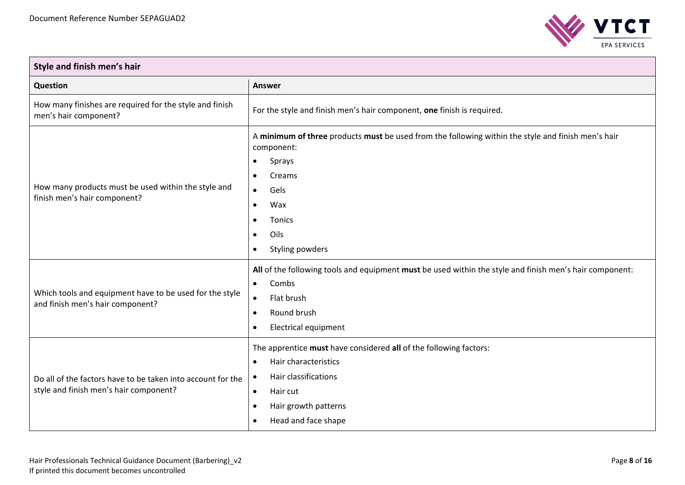

| Style and finish men's hair                                                                           |                                                                                                                                                                                                                                              |  |
|-------------------------------------------------------------------------------------------------------|----------------------------------------------------------------------------------------------------------------------------------------------------------------------------------------------------------------------------------------------|--|
| <b>Question</b>                                                                                       | <b>Answer</b>                                                                                                                                                                                                                                |  |
| How many finishes are required for the style and finish<br>men's hair component?                      | For the style and finish men's hair component, one finish is required.                                                                                                                                                                       |  |
| How many products must be used within the style and<br>finish men's hair component?                   | A minimum of three products must be used from the following within the style and finish men's hair<br>component:<br>Sprays<br>$\bullet$<br>Creams<br>$\bullet$<br>Gels<br>$\bullet$<br>Wax<br>$\bullet$<br>Tonics<br>Oils<br>Styling powders |  |
| Which tools and equipment have to be used for the style<br>and finish men's hair component?           | All of the following tools and equipment must be used within the style and finish men's hair component:<br>Combs<br>$\bullet$<br>Flat brush<br>$\bullet$<br>Round brush<br><b>Electrical equipment</b>                                       |  |
| Do all of the factors have to be taken into account for the<br>style and finish men's hair component? | The apprentice must have considered all of the following factors:<br>Hair characteristics<br>Hair classifications<br>Hair cut<br>$\bullet$<br>Hair growth patterns<br>Head and face shape                                                    |  |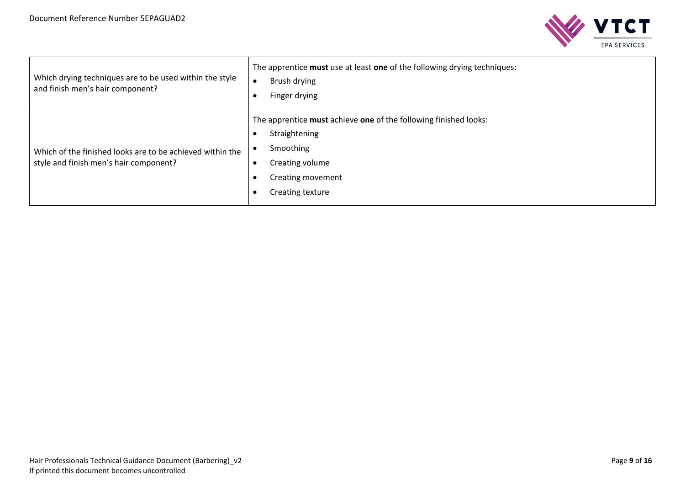

| Which drying techniques are to be used within the style<br>and finish men's hair component?         | The apprentice must use at least one of the following drying techniques:<br>Brush drying<br>Finger drying                                                  |
|-----------------------------------------------------------------------------------------------------|------------------------------------------------------------------------------------------------------------------------------------------------------------|
| Which of the finished looks are to be achieved within the<br>style and finish men's hair component? | The apprentice must achieve one of the following finished looks:<br>Straightening<br>Smoothing<br>Creating volume<br>Creating movement<br>Creating texture |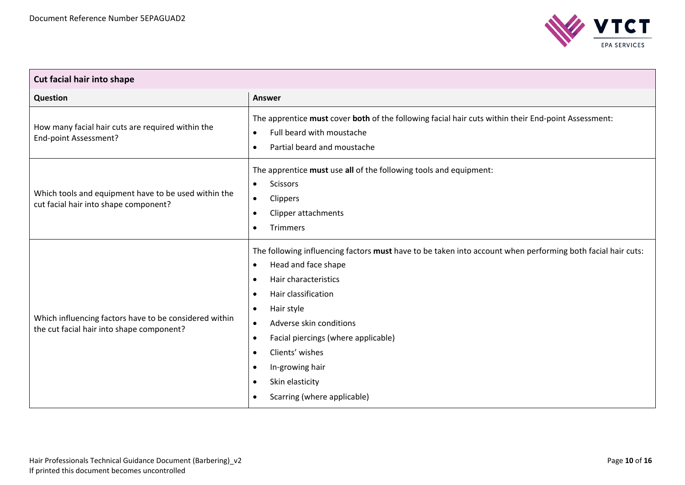

| Cut facial hair into shape                                                                          |                                                                                                                                                                                                                                                                                                                                                                                                                                                      |  |
|-----------------------------------------------------------------------------------------------------|------------------------------------------------------------------------------------------------------------------------------------------------------------------------------------------------------------------------------------------------------------------------------------------------------------------------------------------------------------------------------------------------------------------------------------------------------|--|
| <b>Question</b>                                                                                     | <b>Answer</b>                                                                                                                                                                                                                                                                                                                                                                                                                                        |  |
| How many facial hair cuts are required within the<br>End-point Assessment?                          | The apprentice must cover both of the following facial hair cuts within their End-point Assessment:<br>Full beard with moustache<br>$\bullet$<br>Partial beard and moustache                                                                                                                                                                                                                                                                         |  |
| Which tools and equipment have to be used within the<br>cut facial hair into shape component?       | The apprentice must use all of the following tools and equipment:<br><b>Scissors</b><br>$\bullet$<br>Clippers<br>$\bullet$<br>Clipper attachments<br>$\bullet$<br>Trimmers<br>$\bullet$                                                                                                                                                                                                                                                              |  |
| Which influencing factors have to be considered within<br>the cut facial hair into shape component? | The following influencing factors must have to be taken into account when performing both facial hair cuts:<br>Head and face shape<br>$\bullet$<br>Hair characteristics<br>Hair classification<br>$\bullet$<br>Hair style<br>$\bullet$<br>Adverse skin conditions<br>$\bullet$<br>Facial piercings (where applicable)<br>$\bullet$<br>Clients' wishes<br>$\bullet$<br>In-growing hair<br>Skin elasticity<br>$\bullet$<br>Scarring (where applicable) |  |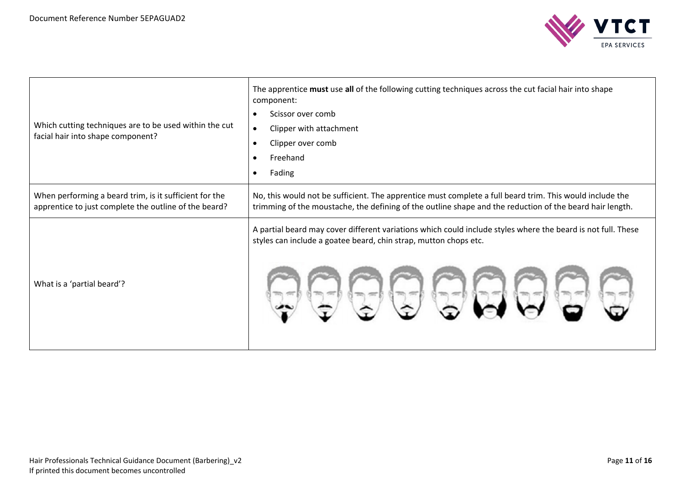

| Which cutting techniques are to be used within the cut<br>facial hair into shape component?                     | The apprentice must use all of the following cutting techniques across the cut facial hair into shape<br>component:<br>Scissor over comb<br>$\bullet$<br>Clipper with attachment<br>$\bullet$<br>Clipper over comb<br>$\bullet$<br>Freehand<br>$\bullet$<br>Fading<br>$\bullet$ |
|-----------------------------------------------------------------------------------------------------------------|---------------------------------------------------------------------------------------------------------------------------------------------------------------------------------------------------------------------------------------------------------------------------------|
| When performing a beard trim, is it sufficient for the<br>apprentice to just complete the outline of the beard? | No, this would not be sufficient. The apprentice must complete a full beard trim. This would include the<br>trimming of the moustache, the defining of the outline shape and the reduction of the beard hair length.                                                            |
| What is a 'partial beard'?                                                                                      | A partial beard may cover different variations which could include styles where the beard is not full. These<br>styles can include a goatee beard, chin strap, mutton chops etc.                                                                                                |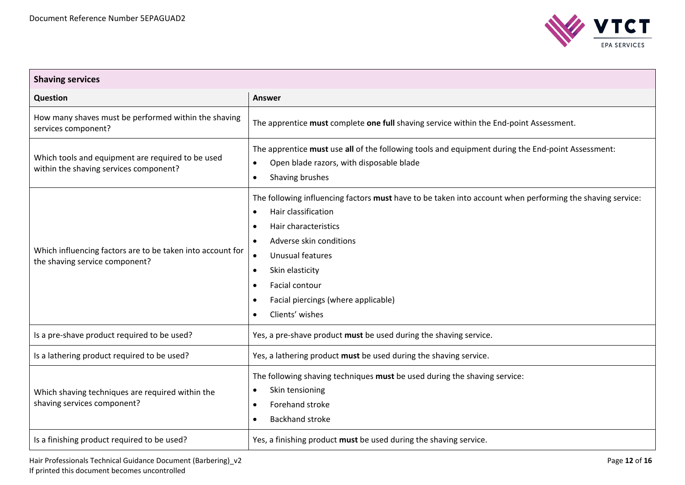

| <b>Shaving services</b>                                                                      |                                                                                                                                                                                                                                                                                                                                                            |  |
|----------------------------------------------------------------------------------------------|------------------------------------------------------------------------------------------------------------------------------------------------------------------------------------------------------------------------------------------------------------------------------------------------------------------------------------------------------------|--|
| Question                                                                                     | <b>Answer</b>                                                                                                                                                                                                                                                                                                                                              |  |
| How many shaves must be performed within the shaving<br>services component?                  | The apprentice must complete one full shaving service within the End-point Assessment.                                                                                                                                                                                                                                                                     |  |
| Which tools and equipment are required to be used<br>within the shaving services component?  | The apprentice must use all of the following tools and equipment during the End-point Assessment:<br>Open blade razors, with disposable blade<br>$\bullet$<br>Shaving brushes<br>$\bullet$                                                                                                                                                                 |  |
| Which influencing factors are to be taken into account for<br>the shaving service component? | The following influencing factors must have to be taken into account when performing the shaving service:<br>Hair classification<br>$\bullet$<br>Hair characteristics<br>$\bullet$<br>Adverse skin conditions<br>Unusual features<br>$\bullet$<br>Skin elasticity<br>$\bullet$<br>Facial contour<br>Facial piercings (where applicable)<br>Clients' wishes |  |
| Is a pre-shave product required to be used?                                                  | Yes, a pre-shave product must be used during the shaving service.                                                                                                                                                                                                                                                                                          |  |
| Is a lathering product required to be used?                                                  | Yes, a lathering product must be used during the shaving service.                                                                                                                                                                                                                                                                                          |  |
| Which shaving techniques are required within the<br>shaving services component?              | The following shaving techniques must be used during the shaving service:<br>Skin tensioning<br>$\bullet$<br>Forehand stroke<br>$\bullet$<br><b>Backhand stroke</b><br>$\bullet$                                                                                                                                                                           |  |
| Is a finishing product required to be used?                                                  | Yes, a finishing product must be used during the shaving service.                                                                                                                                                                                                                                                                                          |  |

Hair Professionals Technical Guidance Document (Barbering)\_v2 **Page 12** of 16 If printed this document becomes uncontrolled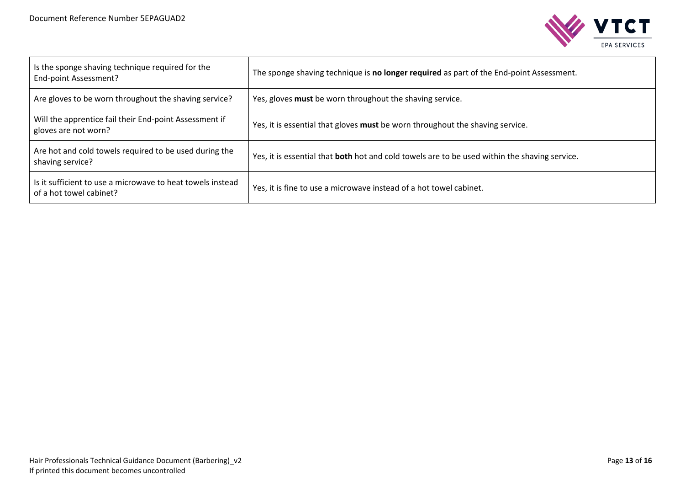

| Is the sponge shaving technique required for the<br>End-point Assessment?             | The sponge shaving technique is no longer required as part of the End-point Assessment.       |
|---------------------------------------------------------------------------------------|-----------------------------------------------------------------------------------------------|
| Are gloves to be worn throughout the shaving service?                                 | Yes, gloves must be worn throughout the shaving service.                                      |
| Will the apprentice fail their End-point Assessment if<br>gloves are not worn?        | Yes, it is essential that gloves must be worn throughout the shaving service.                 |
| Are hot and cold towels required to be used during the<br>shaving service?            | Yes, it is essential that both hot and cold towels are to be used within the shaving service. |
| Is it sufficient to use a microwave to heat towels instead<br>of a hot towel cabinet? | Yes, it is fine to use a microwave instead of a hot towel cabinet.                            |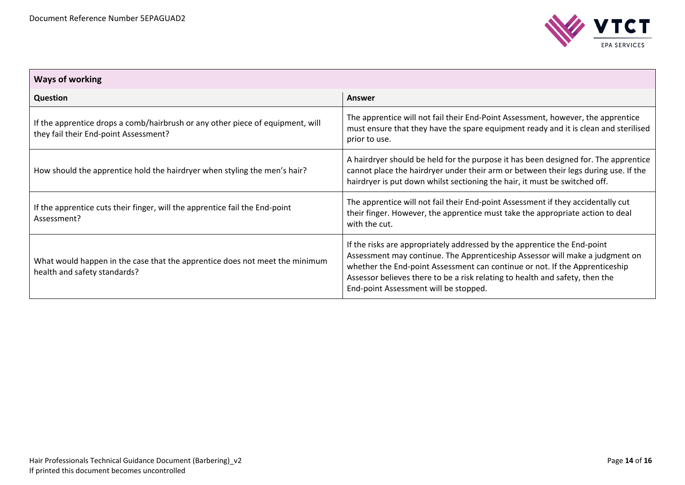

| <b>Ways of working</b>                                                                                                  |                                                                                                                                                                                                                                                                                                                                                                  |  |  |
|-------------------------------------------------------------------------------------------------------------------------|------------------------------------------------------------------------------------------------------------------------------------------------------------------------------------------------------------------------------------------------------------------------------------------------------------------------------------------------------------------|--|--|
| <b>Question</b>                                                                                                         | Answer                                                                                                                                                                                                                                                                                                                                                           |  |  |
| If the apprentice drops a comb/hairbrush or any other piece of equipment, will<br>they fail their End-point Assessment? | The apprentice will not fail their End-Point Assessment, however, the apprentice<br>must ensure that they have the spare equipment ready and it is clean and sterilised<br>prior to use.                                                                                                                                                                         |  |  |
| How should the apprentice hold the hairdryer when styling the men's hair?                                               | A hairdryer should be held for the purpose it has been designed for. The apprentice<br>cannot place the hairdryer under their arm or between their legs during use. If the<br>hairdryer is put down whilst sectioning the hair, it must be switched off.                                                                                                         |  |  |
| If the apprentice cuts their finger, will the apprentice fail the End-point<br>Assessment?                              | The apprentice will not fail their End-point Assessment if they accidentally cut<br>their finger. However, the apprentice must take the appropriate action to deal<br>with the cut.                                                                                                                                                                              |  |  |
| What would happen in the case that the apprentice does not meet the minimum<br>health and safety standards?             | If the risks are appropriately addressed by the apprentice the End-point<br>Assessment may continue. The Apprenticeship Assessor will make a judgment on<br>whether the End-point Assessment can continue or not. If the Apprenticeship<br>Assessor believes there to be a risk relating to health and safety, then the<br>End-point Assessment will be stopped. |  |  |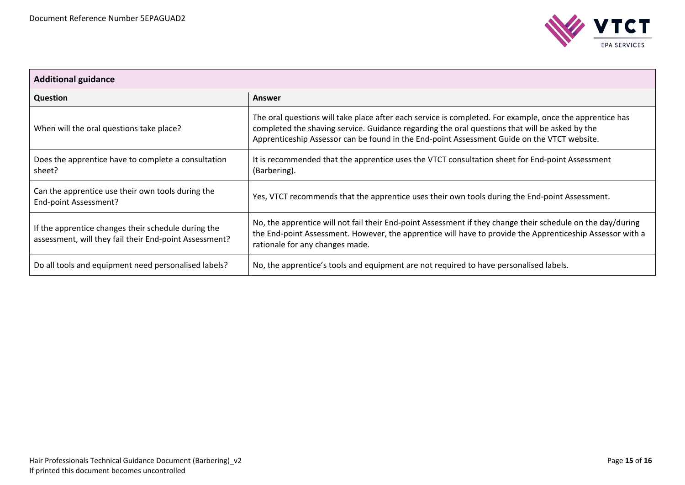

| <b>Additional guidance</b>                                                                                    |                                                                                                                                                                                                                                                                                                           |  |
|---------------------------------------------------------------------------------------------------------------|-----------------------------------------------------------------------------------------------------------------------------------------------------------------------------------------------------------------------------------------------------------------------------------------------------------|--|
| <b>Question</b>                                                                                               | Answer                                                                                                                                                                                                                                                                                                    |  |
| When will the oral questions take place?                                                                      | The oral questions will take place after each service is completed. For example, once the apprentice has<br>completed the shaving service. Guidance regarding the oral questions that will be asked by the<br>Apprenticeship Assessor can be found in the End-point Assessment Guide on the VTCT website. |  |
| Does the apprentice have to complete a consultation<br>sheet?                                                 | It is recommended that the apprentice uses the VTCT consultation sheet for End-point Assessment<br>(Barbering).                                                                                                                                                                                           |  |
| Can the apprentice use their own tools during the<br>End-point Assessment?                                    | Yes, VTCT recommends that the apprentice uses their own tools during the End-point Assessment.                                                                                                                                                                                                            |  |
| If the apprentice changes their schedule during the<br>assessment, will they fail their End-point Assessment? | No, the apprentice will not fail their End-point Assessment if they change their schedule on the day/during<br>the End-point Assessment. However, the apprentice will have to provide the Apprenticeship Assessor with a<br>rationale for any changes made.                                               |  |
| Do all tools and equipment need personalised labels?                                                          | No, the apprentice's tools and equipment are not required to have personalised labels.                                                                                                                                                                                                                    |  |